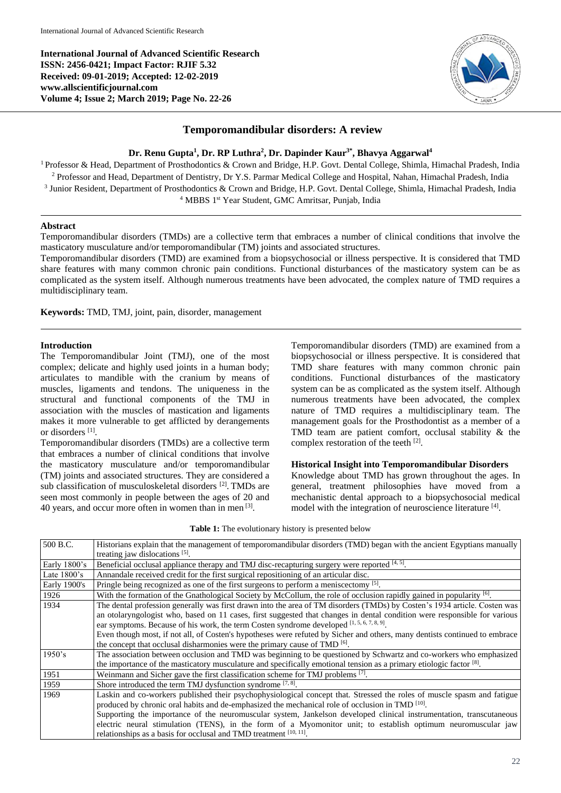**International Journal of Advanced Scientific Research ISSN: 2456-0421; Impact Factor: RJIF 5.32 Received: 09-01-2019; Accepted: 12-02-2019 www.allscientificjournal.com Volume 4; Issue 2; March 2019; Page No. 22-26**



# **Temporomandibular disorders: A review**

#### **Dr. Renu Gupta<sup>1</sup> , Dr. RP Luthra<sup>2</sup> , Dr. Dapinder Kaur3\* , Bhavya Aggarwal<sup>4</sup>**

<sup>1</sup> Professor & Head, Department of Prosthodontics & Crown and Bridge, H.P. Govt. Dental College, Shimla, Himachal Pradesh, India <sup>2</sup> Professor and Head, Department of Dentistry, Dr Y.S. Parmar Medical College and Hospital, Nahan, Himachal Pradesh, India <sup>3</sup> Junior Resident, Department of Prosthodontics & Crown and Bridge, H.P. Govt. Dental College, Shimla, Himachal Pradesh, India <sup>4</sup> MBBS <sup>1st</sup> Year Student, GMC Amritsar, Punjab, India

#### **Abstract**

Temporomandibular disorders (TMDs) are a collective term that embraces a number of clinical conditions that involve the masticatory musculature and/or temporomandibular (TM) joints and associated structures.

Temporomandibular disorders (TMD) are examined from a biopsychosocial or illness perspective. It is considered that TMD share features with many common chronic pain conditions. Functional disturbances of the masticatory system can be as complicated as the system itself. Although numerous treatments have been advocated, the complex nature of TMD requires a multidisciplinary team.

**Keywords:** TMD, TMJ, joint, pain, disorder, management

#### **Introduction**

The Temporomandibular Joint (TMJ), one of the most complex; delicate and highly used joints in a human body; articulates to mandible with the cranium by means of muscles, ligaments and tendons. The uniqueness in the structural and functional components of the TMJ in association with the muscles of mastication and ligaments makes it more vulnerable to get afflicted by derangements or disorders [1] .

Temporomandibular disorders (TMDs) are a collective term that embraces a number of clinical conditions that involve the masticatory musculature and/or temporomandibular (TM) joints and associated structures. They are considered a sub classification of musculoskeletal disorders <sup>[2]</sup>. TMDs are seen most commonly in people between the ages of 20 and 40 years, and occur more often in women than in men [3].

Temporomandibular disorders (TMD) are examined from a biopsychosocial or illness perspective. It is considered that TMD share features with many common chronic pain conditions. Functional disturbances of the masticatory system can be as complicated as the system itself. Although numerous treatments have been advocated, the complex nature of TMD requires a multidisciplinary team. The management goals for the Prosthodontist as a member of a TMD team are patient comfort, occlusal stability & the complex restoration of the teeth [2].

#### **Historical Insight into Temporomandibular Disorders**

Knowledge about TMD has grown throughout the ages. In general, treatment philosophies have moved from a mechanistic dental approach to a biopsychosocial medical model with the integration of neuroscience literature [4].

| 500 B.C.      | Historians explain that the management of temporomandibular disorders (TMD) began with the ancient Egyptians manually                                                                                                                                                                                                                                                                                                                                                                                                                    |
|---------------|------------------------------------------------------------------------------------------------------------------------------------------------------------------------------------------------------------------------------------------------------------------------------------------------------------------------------------------------------------------------------------------------------------------------------------------------------------------------------------------------------------------------------------------|
|               | treating jaw dislocations $[5]$ .                                                                                                                                                                                                                                                                                                                                                                                                                                                                                                        |
| Early 1800's  | Beneficial occlusal appliance therapy and TMJ disc-recapturing surgery were reported [4, 5].                                                                                                                                                                                                                                                                                                                                                                                                                                             |
| Late $1800's$ | Annandale received credit for the first surgical repositioning of an articular disc.                                                                                                                                                                                                                                                                                                                                                                                                                                                     |
| Early 1900's  | Pringle being recognized as one of the first surgeons to perform a meniscectomy [5].                                                                                                                                                                                                                                                                                                                                                                                                                                                     |
| 1926          | With the formation of the Gnathological Society by McCollum, the role of occlusion rapidly gained in popularity [6].                                                                                                                                                                                                                                                                                                                                                                                                                     |
| 1934          | The dental profession generally was first drawn into the area of TM disorders (TMDs) by Costen's 1934 article. Costen was<br>an otolaryngologist who, based on 11 cases, first suggested that changes in dental condition were responsible for various<br>ear symptoms. Because of his work, the term Costen syndrome developed $[1, 5, 6, 7, 8, 9]$ .<br>Even though most, if not all, of Costen's hypotheses were refuted by Sicher and others, many dentists continued to embrace                                                     |
|               | the concept that occlusal disharmonies were the primary cause of TMD [6].                                                                                                                                                                                                                                                                                                                                                                                                                                                                |
| 1950's        | The association between occlusion and TMD was beginning to be questioned by Schwartz and co-workers who emphasized<br>the importance of the masticatory musculature and specifically emotional tension as a primary etiologic factor [8].                                                                                                                                                                                                                                                                                                |
| 1951          | Weinmann and Sicher gave the first classification scheme for TMJ problems [7].                                                                                                                                                                                                                                                                                                                                                                                                                                                           |
| 1959          | Shore introduced the term TMJ dysfunction syndrome $[7, 8]$ .                                                                                                                                                                                                                                                                                                                                                                                                                                                                            |
| 1969          | Laskin and co-workers published their psychophysiological concept that. Stressed the roles of muscle spasm and fatigue<br>produced by chronic oral habits and de-emphasized the mechanical role of occlusion in TMD [10].<br>Supporting the importance of the neuromuscular system, Jankelson developed clinical instrumentation, transcutaneous<br>electric neural stimulation (TENS), in the form of a Myomonitor unit; to establish optimum neuromuscular jaw<br>relationships as a basis for occlusal and TMD treatment $[10, 11]$ . |

**Table 1:** The evolutionary history is presented below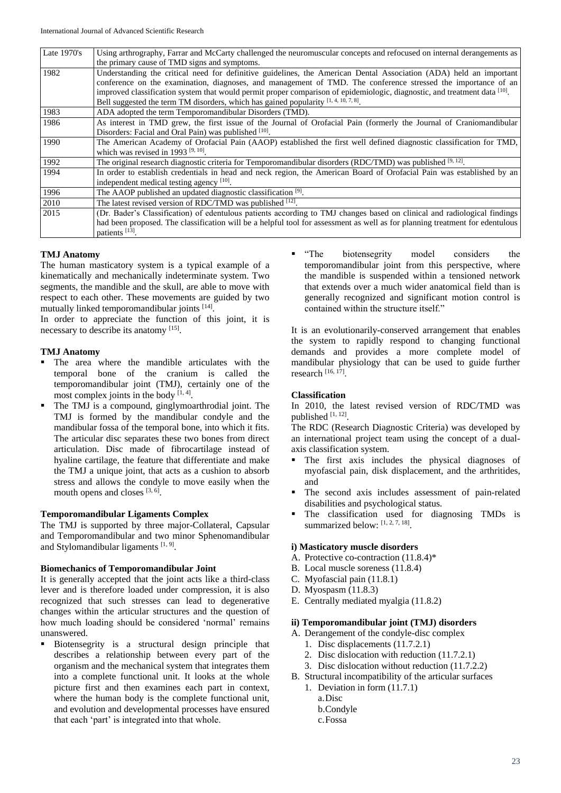| Late $1970's$ | Using arthrography, Farrar and McCarty challenged the neuromuscular concepts and refocused on internal derangements as       |
|---------------|------------------------------------------------------------------------------------------------------------------------------|
|               | the primary cause of TMD signs and symptoms.                                                                                 |
| 1982          | Understanding the critical need for definitive guidelines, the American Dental Association (ADA) held an important           |
|               | conference on the examination, diagnoses, and management of TMD. The conference stressed the importance of an                |
|               | improved classification system that would permit proper comparison of epidemiologic, diagnostic, and treatment data [10].    |
|               | Bell suggested the term TM disorders, which has gained popularity $[1, 4, 10, 7, 8]$ .                                       |
| 1983          | ADA adopted the term Temporomandibular Disorders (TMD).                                                                      |
| 1986          | As interest in TMD grew, the first issue of the Journal of Orofacial Pain (formerly the Journal of Craniomandibular          |
|               | Disorders: Facial and Oral Pain) was published [10].                                                                         |
| 1990          | The American Academy of Orofacial Pain (AAOP) established the first well defined diagnostic classification for TMD,          |
|               | which was revised in 1993 $[9, 10]$ .                                                                                        |
| 1992          | The original research diagnostic criteria for Temporomandibular disorders (RDC/TMD) was published $[9, 12]$ .                |
| 1994          | In order to establish credentials in head and neck region, the American Board of Orofacial Pain was established by an        |
|               | independent medical testing agency [10].                                                                                     |
| 1996          | The AAOP published an updated diagnostic classification [9].                                                                 |
| 2010          | The latest revised version of RDC/TMD was published [12].                                                                    |
| 2015          | (Dr. Bader's Classification) of edentulous patients according to TMJ changes based on clinical and radiological findings     |
|               | had been proposed. The classification will be a helpful tool for assessment as well as for planning treatment for edentulous |
|               | patients [13].                                                                                                               |

## **TMJ Anatomy**

The human masticatory system is a typical example of a kinematically and mechanically indeterminate system. Two segments, the mandible and the skull, are able to move with respect to each other. These movements are guided by two mutually linked temporomandibular joints [14] .

In order to appreciate the function of this joint, it is necessary to describe its anatomy [15].

## **TMJ Anatomy**

- The area where the mandible articulates with the temporal bone of the cranium is called the temporomandibular joint (TMJ), certainly one of the most complex joints in the body  $[1, 4]$ .
- The TMJ is a compound, ginglymoarthrodial joint. The TMJ is formed by the mandibular condyle and the mandibular fossa of the temporal bone, into which it fits. The articular disc separates these two bones from direct articulation. Disc made of fibrocartilage instead of hyaline cartilage, the feature that differentiate and make the TMJ a unique joint, that acts as a cushion to absorb stress and allows the condyle to move easily when the mouth opens and closes [3, 6].

## **Temporomandibular Ligaments Complex**

The TMJ is supported by three major-Collateral, Capsular and Temporomandibular and two minor Sphenomandibular and Stylomandibular ligaments [1, 9].

## **Biomechanics of Temporomandibular Joint**

It is generally accepted that the joint acts like a third-class lever and is therefore loaded under compression, it is also recognized that such stresses can lead to degenerative changes within the articular structures and the question of how much loading should be considered 'normal' remains unanswered.

 Biotensegrity is a structural design principle that describes a relationship between every part of the organism and the mechanical system that integrates them into a complete functional unit. It looks at the whole picture first and then examines each part in context, where the human body is the complete functional unit, and evolution and developmental processes have ensured that each 'part' is integrated into that whole.

 "The biotensegrity model considers the temporomandibular joint from this perspective, where the mandible is suspended within a tensioned network that extends over a much wider anatomical field than is generally recognized and significant motion control is contained within the structure itself."

It is an evolutionarily-conserved arrangement that enables the system to rapidly respond to changing functional demands and provides a more complete model of mandibular physiology that can be used to guide further research [16, 17] .

## **Classification**

In 2010, the latest revised version of RDC/TMD was published [1, 12].

The RDC (Research Diagnostic Criteria) was developed by an international project team using the concept of a dualaxis classification system.

- The first axis includes the physical diagnoses of myofascial pain, disk displacement, and the arthritides, and
- The second axis includes assessment of pain-related disabilities and psychological status.
- The classification used for diagnosing TMDs is summarized below: [1, 2, 7, 18].

#### **i) Masticatory muscle disorders**

- A. Protective co-contraction (11.8.4)\*
- B. Local muscle soreness (11.8.4)
- C. Myofascial pain (11.8.1)
- D. Myospasm (11.8.3)
- E. Centrally mediated myalgia (11.8.2)

#### **ii) Temporomandibular joint (TMJ) disorders**

- A. Derangement of the condyle-disc complex
	- 1. Disc displacements (11.7.2.1)
	- 2. Disc dislocation with reduction (11.7.2.1)
	- 3. Disc dislocation without reduction (11.7.2.2)
- B. Structural incompatibility of the articular surfaces 1. Deviation in form (11.7.1)
	- a.Disc b.Condyle c.Fossa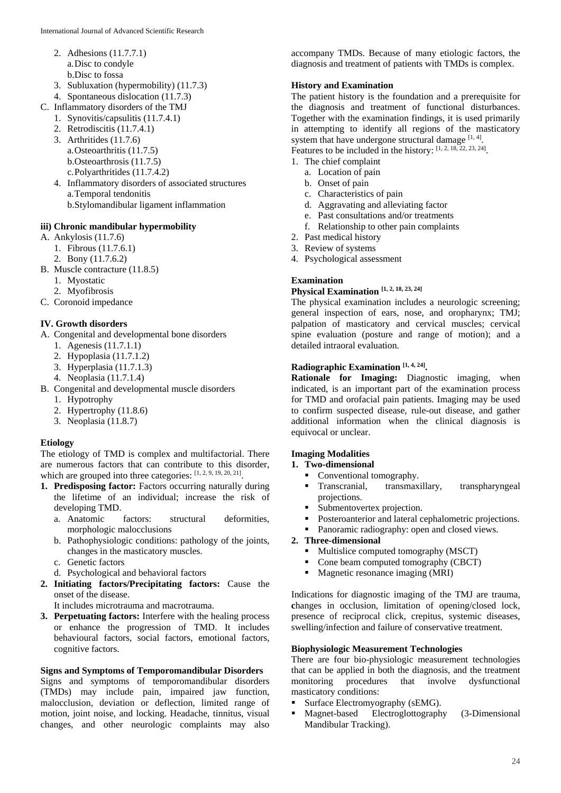- 2. Adhesions (11.7.7.1) a.Disc to condyle b.Disc to fossa
- 3. Subluxation (hypermobility) (11.7.3)
- 4. Spontaneous dislocation (11.7.3)
- C. Inflammatory disorders of the TMJ
	- 1. Synovitis/capsulitis (11.7.4.1)
	- 2. Retrodiscitis (11.7.4.1)
	- 3. Arthritides (11.7.6)
		- a.Osteoarthritis (11.7.5)
		- b.Osteoarthrosis (11.7.5)
		- c.Polyarthritides (11.7.4.2)
	- 4. Inflammatory disorders of associated structures a.Temporal tendonitis b.Stylomandibular ligament inflammation

#### **iii) Chronic mandibular hypermobility**

- A. Ankylosis (11.7.6)
	- 1. Fibrous (11.7.6.1)
	- 2. Bony (11.7.6.2)
- B. Muscle contracture (11.8.5)
	- 1. Myostatic
	- 2. Myofibrosis
- C. Coronoid impedance

## **IV. Growth disorders**

- A. Congenital and developmental bone disorders
	- 1. Agenesis (11.7.1.1)
	- 2. Hypoplasia (11.7.1.2)
	- 3. Hyperplasia (11.7.1.3)
	- 4. Neoplasia (11.7.1.4)
- B. Congenital and developmental muscle disorders
	- 1. Hypotrophy
	- 2. Hypertrophy (11.8.6)
	- 3. Neoplasia (11.8.7)

## **Etiology**

The etiology of TMD is complex and multifactorial. There are numerous factors that can contribute to this disorder, which are grouped into three categories: [1, 2, 9, 19, 20, 21].

- **1. Predisposing factor:** Factors occurring naturally during the lifetime of an individual; increase the risk of developing TMD.
	- a. Anatomic factors: structural deformities, morphologic malocclusions
	- b. Pathophysiologic conditions: pathology of the joints, changes in the masticatory muscles.
	- c. Genetic factors
	- d. Psychological and behavioral factors
- **2. Initiating factors/Precipitating factors:** Cause the onset of the disease.

It includes microtrauma and macrotrauma.

**3. Perpetuating factors:** Interfere with the healing process or enhance the progression of TMD. It includes behavioural factors, social factors, emotional factors, cognitive factors.

#### **Signs and Symptoms of Temporomandibular Disorders**

Signs and symptoms of temporomandibular disorders (TMDs) may include pain, impaired jaw function, malocclusion, deviation or deflection, limited range of motion, joint noise, and locking. Headache, tinnitus, visual changes, and other neurologic complaints may also

accompany TMDs. Because of many etiologic factors, the diagnosis and treatment of patients with TMDs is complex.

#### **History and Examination**

The patient history is the foundation and a prerequisite for the diagnosis and treatment of functional disturbances. Together with the examination findings, it is used primarily in attempting to identify all regions of the masticatory system that have undergone structural damage  $[1, 4]$ .

Features to be included in the history: [1, 2, 18, 22, 23, 24].

- 1. The chief complaint
	- a. Location of pain
	- b. Onset of pain
	- c. Characteristics of pain
	- d. Aggravating and alleviating factor
	- e. Past consultations and/or treatments
	- f. Relationship to other pain complaints
- 2. Past medical history
- 3. Review of systems
- 4. Psychological assessment

## **Examination**

# **Physical Examination [1, 2, 18, 23, 24]**

The physical examination includes a neurologic screening; general inspection of ears, nose, and oropharynx; TMJ; palpation of masticatory and cervical muscles; cervical spine evaluation (posture and range of motion); and a detailed intraoral evaluation.

## **Radiographic Examination [1, 4, 24] .**

**Rationale for Imaging:** Diagnostic imaging, when indicated, is an important part of the examination process for TMD and orofacial pain patients. Imaging may be used to confirm suspected disease, rule-out disease, and gather additional information when the clinical diagnosis is equivocal or unclear.

## **Imaging Modalities**

#### **1. Two-dimensional**

- Conventional tomography.
- **Transcranial, transmaxillary, transpharyngeal** projections.
- Submentovertex projection.
- Posteroanterior and lateral cephalometric projections.
- Panoramic radiography: open and closed views.

## **2. Three-dimensional**

- Multislice computed tomography (MSCT)
- Cone beam computed tomography (CBCT)
- Magnetic resonance imaging (MRI)

Indications for diagnostic imaging of the TMJ are trauma, **c**hanges in occlusion, limitation of opening/closed lock, presence of reciprocal click, crepitus, systemic diseases, swelling/infection and failure of conservative treatment.

#### **Biophysiologic Measurement Technologies**

There are four bio-physiologic measurement technologies that can be applied in both the diagnosis, and the treatment monitoring procedures that involve dysfunctional masticatory conditions:

- Surface Electromyography (sEMG).
- Magnet-based Electroglottography (3-Dimensional Mandibular Tracking).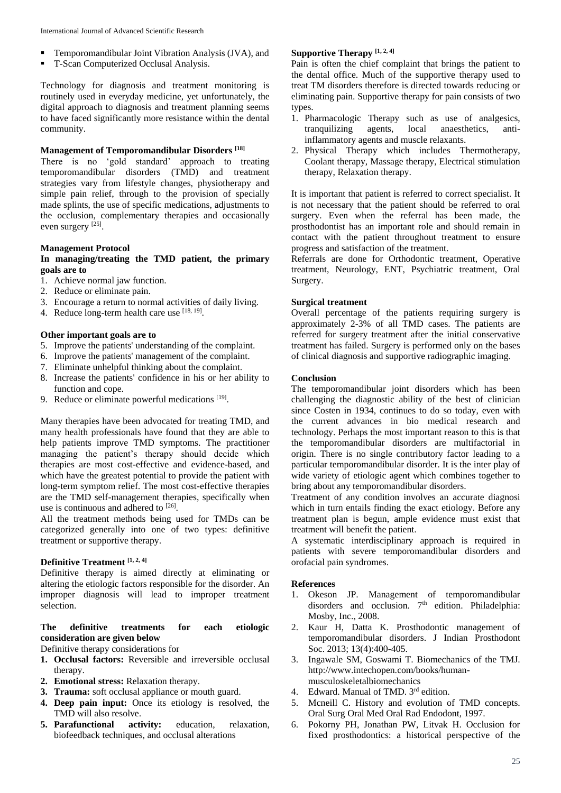- Temporomandibular Joint Vibration Analysis (JVA), and
- T-Scan Computerized Occlusal Analysis.

Technology for diagnosis and treatment monitoring is routinely used in everyday medicine, yet unfortunately, the digital approach to diagnosis and treatment planning seems to have faced significantly more resistance within the dental community.

#### **Management of Temporomandibular Disorders [18]**

There is no 'gold standard' approach to treating temporomandibular disorders (TMD) and treatment strategies vary from lifestyle changes, physiotherapy and simple pain relief, through to the provision of specially made splints, the use of specific medications, adjustments to the occlusion, complementary therapies and occasionally even surgery [25].

#### **Management Protocol**

#### **In managing/treating the TMD patient, the primary goals are to**

- 1. Achieve normal jaw function.
- 2. Reduce or eliminate pain.
- 3. Encourage a return to normal activities of daily living.
- 4. Reduce long-term health care use  $[18, 19]$ .

## **Other important goals are to**

- 5. Improve the patients' understanding of the complaint.
- 6. Improve the patients' management of the complaint.
- 7. Eliminate unhelpful thinking about the complaint.
- 8. Increase the patients' confidence in his or her ability to function and cope.
- 9. Reduce or eliminate powerful medications  $[19]$ .

Many therapies have been advocated for treating TMD, and many health professionals have found that they are able to help patients improve TMD symptoms. The practitioner managing the patient's therapy should decide which therapies are most cost-effective and evidence-based, and which have the greatest potential to provide the patient with long-term symptom relief. The most cost-effective therapies are the TMD self-management therapies, specifically when use is continuous and adhered to  $^{[26]}$ .

All the treatment methods being used for TMDs can be categorized generally into one of two types: definitive treatment or supportive therapy.

# **Definitive Treatment [1, 2, 4]**

Definitive therapy is aimed directly at eliminating or altering the etiologic factors responsible for the disorder. An improper diagnosis will lead to improper treatment selection.

## **The definitive treatments for each etiologic consideration are given below**

Definitive therapy considerations for

- **1. Occlusal factors:** Reversible and irreversible occlusal therapy.
- **2. Emotional stress:** Relaxation therapy.
- **3. Trauma:** soft occlusal appliance or mouth guard.
- **4. Deep pain input:** Once its etiology is resolved, the TMD will also resolve.
- **5. Parafunctional activity:** education, relaxation, biofeedback techniques, and occlusal alterations

#### **Supportive Therapy [1, 2, 4]**

Pain is often the chief complaint that brings the patient to the dental office. Much of the supportive therapy used to treat TM disorders therefore is directed towards reducing or eliminating pain. Supportive therapy for pain consists of two types.

- 1. Pharmacologic Therapy such as use of analgesics, tranquilizing agents, local anaesthetics, antiinflammatory agents and muscle relaxants.
- 2. Physical Therapy which includes Thermotherapy, Coolant therapy, Massage therapy, Electrical stimulation therapy, Relaxation therapy.

It is important that patient is referred to correct specialist. It is not necessary that the patient should be referred to oral surgery. Even when the referral has been made, the prosthodontist has an important role and should remain in contact with the patient throughout treatment to ensure progress and satisfaction of the treatment.

Referrals are done for Orthodontic treatment, Operative treatment, Neurology, ENT, Psychiatric treatment, Oral Surgery.

#### **Surgical treatment**

Overall percentage of the patients requiring surgery is approximately 2-3% of all TMD cases. The patients are referred for surgery treatment after the initial conservative treatment has failed. Surgery is performed only on the bases of clinical diagnosis and supportive radiographic imaging.

#### **Conclusion**

The temporomandibular joint disorders which has been challenging the diagnostic ability of the best of clinician since Costen in 1934, continues to do so today, even with the current advances in bio medical research and technology. Perhaps the most important reason to this is that the temporomandibular disorders are multifactorial in origin. There is no single contributory factor leading to a particular temporomandibular disorder. It is the inter play of wide variety of etiologic agent which combines together to bring about any temporomandibular disorders.

Treatment of any condition involves an accurate diagnosi which in turn entails finding the exact etiology. Before any treatment plan is begun, ample evidence must exist that treatment will benefit the patient.

A systematic interdisciplinary approach is required in patients with severe temporomandibular disorders and orofacial pain syndromes.

#### **References**

- 1. Okeson JP. Management of temporomandibular disorders and occlusion.  $7<sup>th</sup>$  edition. Philadelphia: Mosby, Inc., 2008.
- 2. Kaur H, Datta K. Prosthodontic management of temporomandibular disorders. J Indian Prosthodont Soc. 2013; 13(4):400-405.
- 3. Ingawale SM, Goswami T. Biomechanics of the TMJ. http://www.intechopen.com/books/humanmusculoskeletalbiomechanics
- 4. Edward. Manual of TMD. 3<sup>rd</sup> edition.
- 5. Mcneill C. History and evolution of TMD concepts. Oral Surg Oral Med Oral Rad Endodont, 1997.
- 6. Pokorny PH, Jonathan PW, Litvak H. Occlusion for fixed prosthodontics: a historical perspective of the